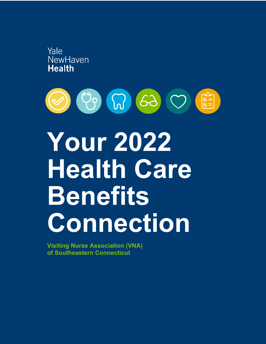



# **Your 2022 Health Care Benefits Connection**

**Visiting Nurse Association (VNA) of Southeastern Connecticut**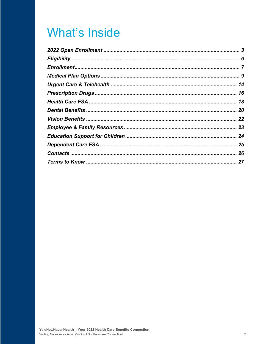### **What's Inside**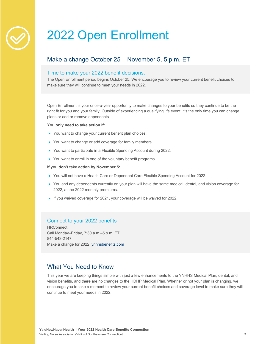### 2022 Open Enrollment

### Make a change October 25 – November 5, 5 p.m. ET

#### Time to make your 2022 benefit decisions.

The Open Enrollment period begins October 25. We encourage you to review your current benefit choices to make sure they will continue to meet your needs in 2022.

Open Enrollment is your once-a-year opportunity to make changes to your benefits so they continue to be the right fit for you and your family. Outside of experiencing a qualifying life event, it's the only time you can change plans or add or remove dependents.

#### **You only need to take action if:**

- You want to change your current benefit plan choices.
- You want to change or add coverage for family members.
- You want to participate in a Flexible Spending Account during 2022.
- You want to enroll in one of the voluntary benefit programs.

#### **If you don't take action by November 5:**

- You will not have a Health Care or Dependent Care Flexible Spending Account for 2022.
- You and any dependents currently on your plan will have the same medical, dental, and vision coverage for 2022, at the 2022 monthly premiums.
- If you waived coverage for 2021, your coverage will be waived for 2022.

#### Connect to your 2022 benefits

**HRConnect** Call Monday–Friday, 7:30 a.m.–5 p.m. ET 844-543-2147 Make a change for 2022: ynhhsbenefits.com

#### What You Need to Know

This year we are keeping things simple with just a few enhancements to the YNHHS Medical Plan, dental, and vision benefits, and there are no changes to the HDHP Medical Plan. Whether or not your plan is changing, we encourage you to take a moment to review your current benefit choices and coverage level to make sure they will continue to meet your needs in 2022.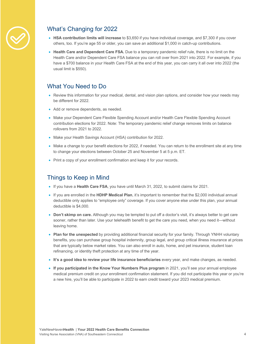

### What's Changing for 2022

- **HSA contribution limits will increase** to \$3,650 if you have individual coverage, and \$7,300 if you cover others, too. If you're age 55 or older, you can save an additional \$1,000 in catch-up contributions.
- **Health Care and Dependent Care FSA.** Due to a temporary pandemic relief rule, there is no limit on the Health Care and/or Dependent Care FSA balance you can roll over from 2021 into 2022. For example, if you have a \$700 balance in your Health Care FSA at the end of this year, you can carry it all over into 2022 (the usual limit is \$550).

#### What You Need to Do

- Review this information for your medical, dental, and vision plan options, and consider how your needs may be different for 2022.
- Add or remove dependents, as needed.
- Make your Dependent Care Flexible Spending Account and/or Health Care Flexible Spending Account contribution elections for 2022. Note: The temporary pandemic relief change removes limits on balance rollovers from 2021 to 2022.
- Make your Health Savings Account (HSA) contribution for 2022.
- Make a change to your benefit elections for 2022, if needed. You can return to the enrollment site at any time to change your elections between October 25 and November 5 at 5 p.m. ET.
- Print a copy of your enrollment confirmation and keep it for your records.

#### Things to Keep in Mind

- If you have a **Health Care FSA**, you have until March 31, 2022, to submit claims for 2021.
- If you are enrolled in the **HDHP Medical Plan**, it's important to remember that the \$2,000 individual annual deductible only applies to "employee only" coverage. If you cover anyone else under this plan, your annual deductible is \$4,000.
- **Don't skimp on care.** Although you may be tempted to put off a doctor's visit, it's always better to get care sooner, rather than later. Use your telehealth benefit to get the care you need, when you need it—without leaving home.
- **Plan for the unexpected** by providing additional financial security for your family. Through YNHH voluntary benefits, you can purchase group hospital indemnity, group legal, and group critical illness insurance at prices that are typically below market rates. You can also enroll in auto, home, and pet insurance, student loan refinancing, or identity theft protection at any time of the year.
- **It's a good idea to review your life insurance beneficiaries** every year, and make changes, as needed.
- **If you participated in the Know Your Numbers Plus program** in 2021, you'll see your annual employee medical premium credit on your enrollment confirmation statement. If you did not participate this year or you're a new hire, you'll be able to participate in 2022 to earn credit toward your 2023 medical premium.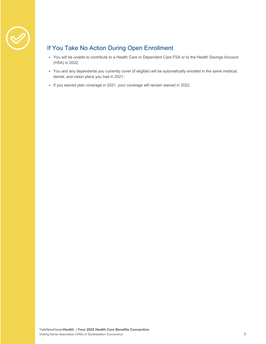

### If You Take No Action During Open Enrollment

- You will be unable to contribute to a Health Care or Dependent Care FSA or to the Health Savings Account (HSA) in 2022.
- You and any dependents you currently cover (if eligible) will be automatically enrolled in the same medical, dental, and vision plans you had in 2021.
- If you waived plan coverage in 2021, your coverage will remain waived in 2022.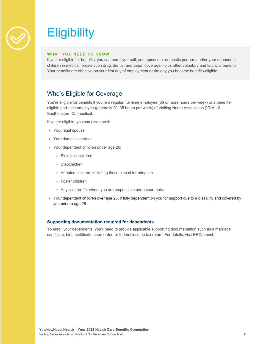

## **Eligibility**

#### **WHAT YOU NEED TO KNOW**

If you're eligible for benefits, you can enroll yourself, your spouse or domestic partner, and/or your dependent children in medical, prescription drug, dental, and vision coverage—plus other voluntary and financial benefits. Your benefits are effective on your first day of employment or the day you become benefits-eligible.

#### Who's Eligible for Coverage

You're eligible for benefits if you're a regular, full-time employee (36 or more hours per week) or a benefitseligible part-time employee (generally 20–35 hours per week) of Visiting Nurse Association (VNA) of Southeastern Connecticut.

If you're eligible, you can also enroll:

- Your legal spouse
- Your domestic partner
- Your dependent children under age 26:
	- Biological children
	- Stepchildren
	- Adopted children, including those placed for adoption
	- Foster children
	- Any children for whom you are responsible per a court order
- Your dependent children over age 26, if fully dependent on you for support due to a disability and covered by you prior to age 26

#### **Supporting documentation required for dependents**

To enroll your dependents, you'll need to provide applicable supporting documentation such as a marriage certificate, birth certificate, court order, or federal income tax return. For details, visit HRConnect.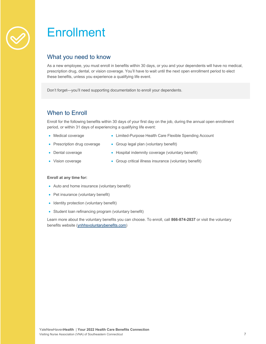### **Enrollment**

#### What you need to know

As a new employee, you must enroll in benefits within 30 days, or you and your dependents will have no medical, prescription drug, dental, or vision coverage. You'll have to wait until the next open enrollment period to elect these benefits, unless you experience a qualifying life event.

Don't forget—you'll need supporting documentation to enroll your dependents.

### When to Enroll

Enroll for the following benefits within 30 days of your first day on the job, during the annual open enrollment period, or within 31 days of experiencing a qualifying life event:

- Medical coverage
- Limited-Purpose Health Care Flexible Spending Account
- Prescription drug coverage
- Group legal plan (voluntary benefit)
- Dental coverage
- Hospital indemnity coverage (voluntary benefit)
- Vision coverage
- Group critical illness insurance (voluntary benefit)

#### **Enroll at any time for:**

- Auto and home insurance (voluntary benefit)
- Pet insurance (voluntary benefit)
- Identity protection (voluntary benefit)
- Student loan refinancing program (voluntary benefit)

Learn more about the voluntary benefits you can choose. To enroll, call **866-874-2837** or visit the voluntary benefits website (ynhhsvoluntarybenefits.com)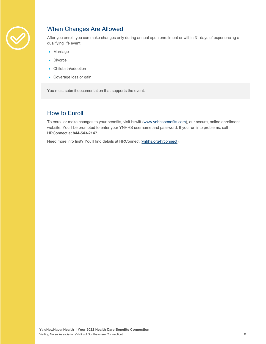

### When Changes Are Allowed

After you enroll, you can make changes only during annual open enrollment or within 31 days of experiencing a qualifying life event:

- Marriage
- Divorce
- Childbirth/adoption
- Coverage loss or gain

You must submit documentation that supports the event.

#### How to Enroll

To enroll or make changes to your benefits, visit bswift (www.ynhhsbenefits.com), our secure, online enrollment website. You'll be prompted to enter your YNHHS username and password. If you run into problems, call HRConnect at **844-543-2147**.

Need more info first? You'll find details at HRConnect (ynhhs.org/hrconnect).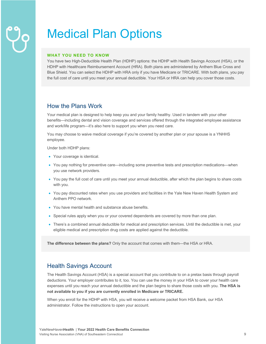## Medical Plan Options

#### **WHAT YOU NEED TO KNOW**

You have two High-Deductible Health Plan (HDHP) options: the HDHP with Health Savings Account (HSA), or the HDHP with Healthcare Reimbursement Account (HRA). Both plans are administered by Anthem Blue Cross and Blue Shield. You can select the HDHP with HRA only if you have Medicare or TRICARE. With both plans, you pay the full cost of care until you meet your annual deductible. Your HSA or HRA can help you cover those costs.

#### How the Plans Work

Your medical plan is designed to help keep you and your family healthy. Used in tandem with your other benefits—including dental and vision coverage and services offered through the integrated employee assistance and work/life program—it's also here to support you when you need care.

You may choose to waive medical coverage if you're covered by another plan or your spouse is a YNHHS employee.

Under both HDHP plans:

- Your coverage is identical.
- You pay nothing for preventive care—including some preventive tests and prescription medications—when you use network providers.
- You pay the full cost of care until you meet your annual deductible, after which the plan begins to share costs with you.
- You pay discounted rates when you use providers and facilities in the Yale New Haven Health System and Anthem PPO network.
- You have mental health and substance abuse benefits.
- Special rules apply when you or your covered dependents are covered by more than one plan.
- There's a combined annual deductible for medical and prescription services. Until the deductible is met, your eligible medical and prescription drug costs are applied against the deductible.

**The difference between the plans?** Only the account that comes with them—the HSA or HRA.

#### Health Savings Account

The Health Savings Account (HSA) is a special account that you contribute to on a pretax basis through payroll deductions. Your employer contributes to it, too. You can use the money in your HSA to cover your health care expenses until you reach your annual deductible and the plan begins to share those costs with you. **The HSA is not available to you if you are currently enrolled in Medicare or TRICARE.**

When you enroll for the HDHP with HSA, you will receive a welcome packet from HSA Bank, our HSA administrator. Follow the instructions to open your account.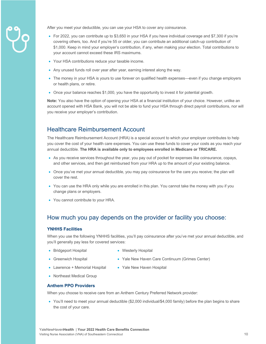

After you meet your deductible, you can use your HSA to cover any coinsurance.

- For 2022, you can contribute up to \$3,650 in your HSA if you have individual coverage and \$7,300 if you're covering others, too. And if you're 55 or older, you can contribute an additional catch-up contribution of \$1,000. Keep in mind your employer's contribution, if any, when making your election. Total contributions to your account cannot exceed these IRS maximums.
- Your HSA contributions reduce your taxable income.
- Any unused funds roll over year after year, earning interest along the way.
- The money in your HSA is yours to use forever on qualified health expenses—even if you change employers or health plans, or retire.
- Once your balance reaches \$1,000, you have the opportunity to invest it for potential growth.

**Note:** You also have the option of opening your HSA at a financial institution of your choice. However, unlike an account opened with HSA Bank, you will not be able to fund your HSA through direct payroll contributions, nor will you receive your employer's contribution.

#### Healthcare Reimbursement Account

The Healthcare Reimbursement Account (HRA) is a special account to which your employer contributes to help you cover the cost of your health care expenses. You can use these funds to cover your costs as you reach your annual deductible. **The HRA is available only to employees enrolled in Medicare or TRICARE.**

- As you receive services throughout the year, you pay out of pocket for expenses like coinsurance, copays, and other services, and then get reimbursed from your HRA up to the amount of your existing balance.
- Once you've met your annual deductible, you may pay coinsurance for the care you receive; the plan will cover the rest.
- You can use the HRA only while you are enrolled in this plan. You cannot take the money with you if you change plans or employers.
- You cannot contribute to your HRA.

#### How much you pay depends on the provider or facility you choose:

#### **YNHHS Facilities**

When you use the following YNHHS facilities, you'll pay coinsurance after you've met your annual deductible, and you'll generally pay less for covered services:

- Bridgeport Hospital
- Westerly Hospital
- Greenwich Hospital
- 
- Yale New Haven Care Continuum (Grimes Center)
- Lawrence + Memorial Hospital
- Yale New Haven Hospital
- Northeast Medical Group

#### **Anthem PPO Providers**

When you choose to receive care from an Anthem Century Preferred Network provider:

• You'll need to meet your annual deductible (\$2,000 individual/\$4,000 family) before the plan begins to share the cost of your care.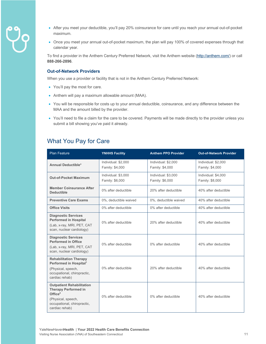- 
- After you meet your deductible, you'll pay 20% coinsurance for care until you reach your annual out-of-pocket maximum.
- Once you meet your annual out-of-pocket maximum, the plan will pay 100% of covered expenses through that calendar year.

To find a provider in the Anthem Century Preferred Network, visit the Anthem website (http://anthem.com/) or call **888-266-2896**.

#### **Out-of-Network Providers**

When you use a provider or facility that is not in the Anthem Century Preferred Network:

- You'll pay the most for care.
- Anthem will pay a maximum allowable amount (MAA).
- You will be responsible for costs up to your annual deductible, coinsurance, and any difference between the MAA and the amount billed by the provider.
- You'll need to file a claim for the care to be covered. Payments will be made directly to the provider unless you submit a bill showing you've paid it already.

#### What You Pay for Care

| <b>Plan Feature</b>                                                                                                                                           | <b>YNHHS Facility</b>                  | <b>Anthem PPO Provider</b>             | <b>Out-of-Network Provider</b>         |
|---------------------------------------------------------------------------------------------------------------------------------------------------------------|----------------------------------------|----------------------------------------|----------------------------------------|
| <b>Annual Deductible*</b>                                                                                                                                     | Individual: \$2,000<br>Family: \$4,000 | Individual: \$2,000<br>Family: \$4,000 | Individual: \$2,000<br>Family: \$4,000 |
| <b>Out-of-Pocket Maximum</b>                                                                                                                                  | Individual: \$3,000<br>Family: \$6,000 | Individual: \$3,000<br>Family: \$6,000 | Individual: \$4,000<br>Family: \$8,000 |
| <b>Member Coinsurance After</b><br><b>Deductible</b>                                                                                                          | 0% after deductible                    | 20% after deductible                   | 40% after deductible                   |
| <b>Preventive Care Exams</b>                                                                                                                                  | 0%, deductible waived                  | 0%, deductible waived                  | 40% after deductible                   |
| <b>Office Visits</b>                                                                                                                                          | 0% after deductible                    | 0% after deductible                    | 40% after deductible                   |
| <b>Diagnostic Services</b><br><b>Performed in Hospital</b><br>(Lab, x-ray, MRI, PET, CAT<br>scan, nuclear cardiology)                                         | 0% after deductible                    | 20% after deductible                   | 40% after deductible                   |
| <b>Diagnostic Services</b><br><b>Performed in Office</b><br>(Lab, x-ray, MRI, PET, CAT<br>scan, nuclear cardiology)                                           | 0% after deductible                    | 0% after deductible                    | 40% after deductible                   |
| <b>Rehabilitation Therapy</b><br>Performed in Hospital <sup>1</sup><br>(Physical, speech,<br>occupational, chiropractic,<br>cardiac rehab)                    | 0% after deductible                    | 20% after deductible                   | 40% after deductible                   |
| <b>Outpatient Rehabilitation</b><br><b>Therapy Performed in</b><br>Office <sup>2</sup><br>(Physical, speech,<br>occupational, chiropractic,<br>cardiac rehab) | 0% after deductible                    | 0% after deductible                    | 40% after deductible                   |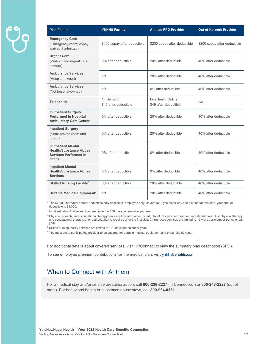| <b>Plan Feature</b>                                                                                 | <b>YNHHS Facility</b>             | <b>Anthem PPO Provider</b>                 | <b>Out-of-Network Provider</b> |
|-----------------------------------------------------------------------------------------------------|-----------------------------------|--------------------------------------------|--------------------------------|
| <b>Emergency Care</b><br>(Emergency room; copay<br>waived if admitted)                              | \$100 copay after deductible      | \$200 copay after deductible               | \$200 copay after deductible   |
| <b>Urgent Care</b><br>(Walk-in and urgent care<br>centers)                                          | 0% after deductible               | 20% after deductible                       | 40% after deductible           |
| <b>Ambulance Services</b><br>(Hospital-owned)                                                       | n/a                               | 20% after deductible                       | 40% after deductible           |
| <b>Ambulance Services</b><br>(Not hospital-owned)                                                   | n/a                               | 0% after deductible                        | 40% after deductible           |
| <b>Telehealth</b>                                                                                   | OnDemand<br>\$49 after deductible | LiveHealth Online<br>\$49 after deductible | n/a                            |
| <b>Outpatient Surgery</b><br><b>Performed in Hospital</b><br><b>Ambulatory Care Center</b>          | 0% after deductible               | 20% after deductible                       | 40% after deductible           |
| <b>Inpatient Surgery</b><br>(Semi-private room and<br>board)                                        | 0% after deductible               | 20% after deductible                       | 40% after deductible           |
| <b>Outpatient Mental</b><br><b>Health/Substance Abuse</b><br><b>Services Performed in</b><br>Office | 0% after deductible               | 0% after deductible                        | 40% after deductible           |
| <b>Inpatient Mental</b><br><b>Health/Substance Abuse</b><br><b>Services</b>                         | 0% after deductible               | 0% after deductible                        | 40% after deductible           |
| <b>Skilled Nursing Facility<sup>3</sup></b>                                                         | 0% after deductible               | 20% after deductible                       | 40% after deductible           |
| Durable Medical Equipment <sup>4</sup>                                                              | n/a                               | 20% after deductible                       | 40% after deductible           |

\* The \$2,000 individual annual deductible only applies to "employee only" coverage. If you cover any one else under this plan, your annual deductible is \$4,000.

<sup>1</sup> Inpatient rehabilitative services are limited to 100 days per member per year.

<sup>2</sup> Physical, speech, and occupational therapy visits are limited to a combined total of 60 visits per member per calendar year. For physical therapy<br>and occupational therapy, prior authorization is required after the firs year.

<sup>3</sup> Skilled nursing facility services are limited to 100 days per calendar year.

<sup>4</sup> You must use a participating provider to be covered for durable medical equipment and prosthetic devices.

For additional details about covered services, visit HRConnect to view the summary plan description (SPD).

To see employee premium contributions for the medical plan, visit ynhhsbenefits.com.

#### When to Connect with Anthem

For a medical stay and/or service preauthorization, call **800-238-2227** (in Connecticut) or **800-248-2227** (out of state). For behavioral health or substance abuse stays, call **800-934-0331**.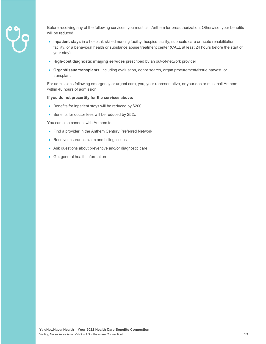

Before receiving any of the following services, you must call Anthem for preauthorization. Otherwise, your benefits will be reduced.

- **Inpatient stays** in a hospital, skilled nursing facility, hospice facility, subacute care or acute rehabilitation facility, or a behavioral health or substance abuse treatment center (CALL at least 24 hours before the start of your stay)
- **High-cost diagnostic imaging services** prescribed by an out-of-network provider
- **Organ/tissue transplants,** including evaluation, donor search, organ procurement/tissue harvest, or transplant

For admissions following emergency or urgent care, you, your representative, or your doctor must call Anthem within 48 hours of admission.

#### **If you do not precertify for the services above:**

- Benefits for inpatient stays will be reduced by \$200.
- Benefits for doctor fees will be reduced by 25%.

You can also connect with Anthem to:

- Find a provider in the Anthem Century Preferred Network
- Resolve insurance claim and billing issues
- Ask questions about preventive and/or diagnostic care
- Get general health information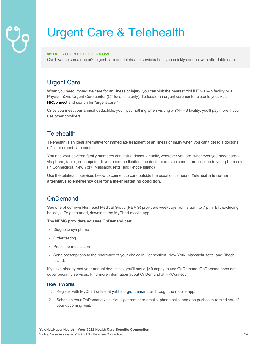## Urgent Care & Telehealth

#### **WHAT YOU NEED TO KNOW**

Can't wait to see a doctor? Urgent care and telehealth services help you quickly connect with affordable care.

#### Urgent Care

When you need immediate care for an illness or injury, you can visit the nearest YNHHS walk-in facility or a PhysicianOne Urgent Care center (CT locations only). To locate an urgent care center close to you, visit HRConnect and search for "urgent care."

Once you meet your annual deductible, you'll pay nothing when visiting a YNHHS facility; you'll pay more if you use other providers.

#### **Telehealth**

Telehealth is an ideal alternative for immediate treatment of an illness or injury when you can't get to a doctor's office or urgent care center.

You and your covered family members can visit a doctor virtually, wherever you are, whenever you need care via phone, tablet, or computer. If you need medication, the doctor can even send a prescription to your pharmacy (in Connecticut, New York, Massachusetts, and Rhode Island).

Use the telehealth services below to connect to care outside the usual office hours. **Telehealth is not an alternative to emergency care for a life-threatening condition.** 

#### **OnDemand**

See one of our own Northeast Medical Group (NEMG) providers weekdays from 7 a.m. to 7 p.m. ET, excluding holidays. To get started, download the MyChart mobile app.

**The NEMG providers you see OnDemand can:**

- Diagnose symptoms
- Order testing
- Prescribe medication
- Send prescriptions to the pharmacy of your choice in Connecticut, New York, Massachusetts, and Rhode Island.

If you've already met your annual deductible, you'll pay a \$49 copay to use OnDemand. OnDemand does not cover pediatric services. Find more information about OnDemand at HRConnect.

#### **How It Works**

- 1. Register with MyChart online at ynhhs.org/ondemand or through the mobile app.
- 2. Schedule your OnDemand visit. You'll get reminder emails, phone calls, and app pushes to remind you of your upcoming visit.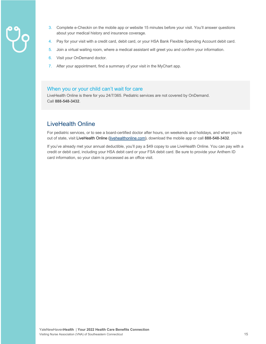- 
- 3. Complete e-Checkin on the mobile app or website 15 minutes before your visit. You'll answer questions about your medical history and insurance coverage.
- 4. Pay for your visit with a credit card, debit card, or your HSA Bank Flexible Spending Account debit card.
- 5. Join a virtual waiting room, where a medical assistant will greet you and confirm your information.
- 6. Visit your OnDemand doctor.
- 7. After your appointment, find a summary of your visit in the MyChart app.

#### When you or your child can't wait for care

LiveHealth Online is there for you 24/7/365. Pediatric services are not covered by OnDemand. Call **888-548-3432**.

#### LiveHealth Online

For pediatric services, or to see a board-certified doctor after hours, on weekends and holidays, and when you're out of state, visit LiveHealth Online (livehealthonline.com), download the mobile app or call **888-548-3432**.

If you've already met your annual deductible, you'll pay a \$49 copay to use LiveHealth Online. You can pay with a credit or debit card, including your HSA debit card or your FSA debit card. Be sure to provide your Anthem ID card information, so your claim is processed as an office visit.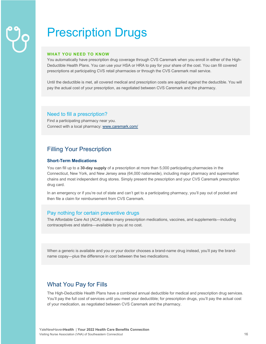## Prescription Drugs

#### **WHAT YOU NEED TO KNOW**

You automatically have prescription drug coverage through CVS Caremark when you enroll in either of the High-Deductible Health Plans. You can use your HSA or HRA to pay for your share of the cost. You can fill covered prescriptions at participating CVS retail pharmacies or through the CVS Caremark mail service.

Until the deductible is met, all covered medical and prescription costs are applied against the deductible. You will pay the actual cost of your prescription, as negotiated between CVS Caremark and the pharmacy.

#### Need to fill a prescription?

Find a participating pharmacy near you. Connect with a local pharmacy: www.caremark.com/

#### Filling Your Prescription

#### **Short-Term Medications**

You can fill up to a **30-day supply** of a prescription at more than 5,000 participating pharmacies in the Connecticut, New York, and New Jersey area (64,000 nationwide), including major pharmacy and supermarket chains and most independent drug stores. Simply present the prescription and your CVS Caremark prescription drug card.

In an emergency or if you're out of state and can't get to a participating pharmacy, you'll pay out of pocket and then file a claim for reimbursement from CVS Caremark.

#### Pay nothing for certain preventive drugs

The Affordable Care Act (ACA) makes many prescription medications, vaccines, and supplements—including contraceptives and statins—available to you at no cost.

When a generic is available and you or your doctor chooses a brand-name drug instead, you'll pay the brandname copay—plus the difference in cost between the two medications.

#### What You Pay for Fills

The High-Deductible Health Plans have a combined annual deductible for medical and prescription drug services. You'll pay the full cost of services until you meet your deductible; for prescription drugs, you'll pay the actual cost of your medication, as negotiated between CVS Caremark and the pharmacy.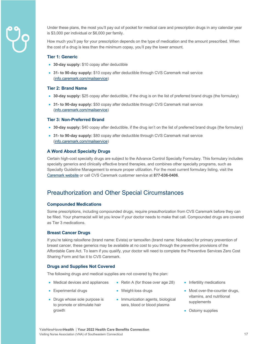

Under these plans, the most you'll pay out of pocket for medical care and prescription drugs in any calendar year is \$3,000 per individual or \$6,000 per family.

How much you'll pay for your prescription depends on the type of medication and the amount prescribed. When the cost of a drug is less than the minimum copay, you'll pay the lower amount.

#### **Tier 1: Generic**

- **30-day supply:** \$10 copay after deductible
- **31- to 90-day supply:** \$10 copay after deductible through CVS Caremark mail service (info.caremark.com/mailservice)

#### **Tier 2: Brand Name**

- **30-day supply:** \$25 copay after deductible, if the drug is on the list of preferred brand drugs (the formulary)
- **31- to 90-day supply:** \$50 copay after deductible through CVS Caremark mail service (info.caremark.com/mailservice)

#### **Tier 3: Non-Preferred Brand**

- **30-day supply:** \$40 copay after deductible, if the drug isn't on the list of preferred brand drugs (the formulary)
- **31- to 90-day supply:** \$80 copay after deductible through CVS Caremark mail service (info.caremark.com/mailservice)

#### **A Word About Specialty Drugs**

Certain high-cost specialty drugs are subject to the Advance Control Specialty Formulary. This formulary includes specialty generics and clinically effective brand therapies, and combines other specialty programs, such as Specialty Guideline Management to ensure proper utilization. For the most current formulary listing, visit the Caremark website or call CVS Caremark customer service at **877-636-0406**.

#### Preauthorization and Other Special Circumstances

#### **Compounded Medications**

Some prescriptions, including compounded drugs, require preauthorization from CVS Caremark before they can be filled. Your pharmacist will let you know if your doctor needs to make that call. Compounded drugs are covered as Tier 3 medications.

#### **Breast Cancer Drugs**

If you're taking raloxifene (brand name: Evista) or tamoxifen (brand name: Nolvadex) for primary prevention of breast cancer, these generics may be available at no cost to you through the preventive provisions of the Affordable Care Act. To learn if you qualify, your doctor will need to complete the Preventive Services Zero Cost Sharing Form and fax it to CVS Caremark.

#### **Drugs and Supplies Not Covered**

The following drugs and medical supplies are not covered by the plan:

• Medical devices and appliances

• Experimental drugs

- Weight-loss drugs
- Drugs whose sole purpose is to promote or stimulate hair growth
- Immunization agents, biological sera, blood or blood plasma

• Retin A (for those over age 28)

- Infertility medications
- Most over-the-counter drugs, vitamins, and nutritional supplements
- Ostomy supplies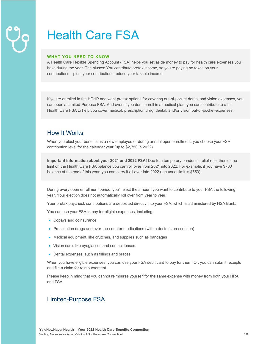## Health Care FSA

#### **WHAT YOU NEED TO KNOW**

A Health Care Flexible Spending Account (FSA) helps you set aside money to pay for health care expenses you'll have during the year. The pluses: You contribute pretax income, so you're paying no taxes on your contributions—plus, your contributions reduce your taxable income.

If you're enrolled in the HDHP and want pretax options for covering out-of-pocket dental and vision expenses, you can open a Limited-Purpose FSA. And even if you don't enroll in a medical plan, you can contribute to a full Health Care FSA to help you cover medical, prescription drug, dental, and/or vision out-of-pocket-expenses.

#### How It Works

When you elect your benefits as a new employee or during annual open enrollment, you choose your FSA contribution level for the calendar year (up to \$2,750 in 2022).

**Important information about your 2021 and 2022 FSA!** Due to a temporary pandemic relief rule, there is no limit on the Health Care FSA balance you can roll over from 2021 into 2022. For example, if you have \$700 balance at the end of this year, you can carry it all over into 2022 (the usual limit is \$550).

During every open enrollment period, you'll elect the amount you want to contribute to your FSA the following year. Your election does not automatically roll over from year to year.

Your pretax paycheck contributions are deposited directly into your FSA, which is administered by HSA Bank.

You can use your FSA to pay for eligible expenses, including:

- Copays and coinsurance
- Prescription drugs and over-the-counter medications (with a doctor's prescription)
- Medical equipment, like crutches, and supplies such as bandages
- Vision care, like eyeglasses and contact lenses
- Dental expenses, such as fillings and braces

When you have eligible expenses, you can use your FSA debit card to pay for them. Or, you can submit receipts and file a claim for reimbursement.

Please keep in mind that you cannot reimburse yourself for the same expense with money from both your HRA and FSA.

#### Limited-Purpose FSA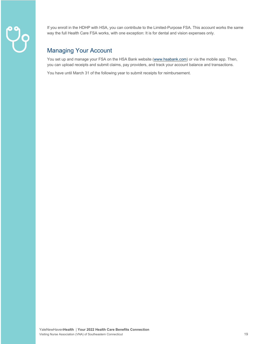If you enroll in the HDHP with HSA, you can contribute to the Limited-Purpose FSA. This account works the same way the full Health Care FSA works, with one exception: It is for dental and vision expenses only.

### Managing Your Account

You set up and manage your FSA on the HSA Bank website (www.hsabank.com) or via the mobile app. Then, you can upload receipts and submit claims, pay providers, and track your account balance and transactions.

You have until March 31 of the following year to submit receipts for reimbursement.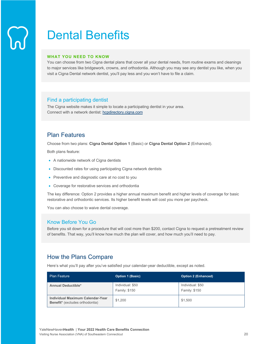### Dental Benefits

#### **WHAT YOU NEED TO KNOW**

You can choose from two Cigna dental plans that cover all your dental needs, from routine exams and cleanings to major services like bridgework, crowns, and orthodontia. Although you may see any dentist you like, when you visit a Cigna Dental network dentist, you'll pay less and you won't have to file a claim.

#### Find a participating dentist

The Cigna website makes it simple to locate a participating dentist in your area. Connect with a network dentist: hcpdirectory.cigna.com

#### Plan Features

Choose from two plans: **Cigna Dental Option 1** (Basic) or **Cigna Dental Option 2** (Enhanced).

Both plans feature:

- A nationwide network of Cigna dentists
- Discounted rates for using participating Cigna network dentists
- Preventive and diagnostic care at no cost to you
- Coverage for restorative services and orthodontia

The key difference: Option 2 provides a higher annual maximum benefit and higher levels of coverage for basic restorative and orthodontic services. Its higher benefit levels will cost you more per paycheck.

You can also choose to waive dental coverage.

#### Know Before You Go

Before you sit down for a procedure that will cost more than \$200, contact Cigna to request a pretreatment review of benefits. That way, you'll know how much the plan will cover, and how much you'll need to pay.

#### How the Plans Compare

Here's what you'll pay after you've satisfied your calendar-year deductible, except as noted.

| <b>Plan Feature</b>                                                        | <b>Option 1 (Basic)</b>           | <b>Option 2 (Enhanced)</b>        |
|----------------------------------------------------------------------------|-----------------------------------|-----------------------------------|
| <b>Annual Deductible*</b>                                                  | Individual: \$50<br>Family: \$150 | Individual: \$50<br>Family: \$150 |
| Individual Maximum Calendar-Year<br><b>Benefit*</b> (excludes orthodontia) | \$1.200                           | \$1,500                           |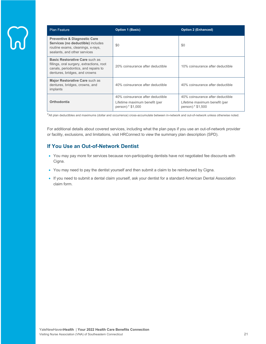| <b>Plan Feature</b>                                                                                                                                  | <b>Option 1 (Basic)</b>                                                                | <b>Option 2 (Enhanced)</b>                                                             |
|------------------------------------------------------------------------------------------------------------------------------------------------------|----------------------------------------------------------------------------------------|----------------------------------------------------------------------------------------|
| <b>Preventive &amp; Diagnostic Care</b><br>Services (no deductible) includes<br>routine exams, cleanings, x-rays,<br>sealants, and other services    | \$0                                                                                    | \$0                                                                                    |
| Basic Restorative Care such as<br>fillings, oral surgery, extractions, root<br>canals, periodontics, and repairs to<br>dentures, bridges, and crowns | 20% coinsurance after deductible                                                       | 10% coinsurance after deductible                                                       |
| Major Restorative Care such as<br>dentures, bridges, crowns, and<br>implants                                                                         | 40% coinsurance after deductible                                                       | 40% coinsurance after deductible                                                       |
| Orthodontia                                                                                                                                          | 40% coinsurance after deductible<br>Lifetime maximum benefit (per<br>person):* \$1,000 | 40% coinsurance after deductible<br>Lifetime maximum benefit (per<br>person):* \$1,500 |

\*All plan deductibles and maximums (dollar and occurrence) cross-accumulate between in-network and out-of-network unless otherwise noted.

For additional details about covered services, including what the plan pays if you use an out-of-network provider or facility, exclusions, and limitations, visit HRConnect to view the summary plan description (SPD).

#### **If You Use an Out-of-Network Dentist**

- You may pay more for services because non-participating dentists have not negotiated fee discounts with Cigna.
- You may need to pay the dentist yourself and then submit a claim to be reimbursed by Cigna.
- If you need to submit a dental claim yourself, ask your dentist for a standard American Dental Association claim form.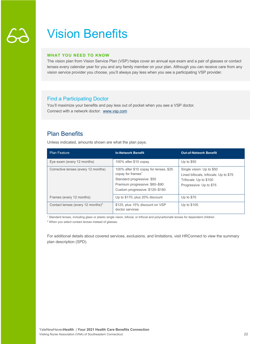### Vision Benefits

#### **WHAT YOU NEED TO KNOW**

The vision plan from Vision Service Plan (VSP) helps cover an annual eye exam and a pair of glasses or contact lenses every calendar year for you and any family member on your plan. Although you can receive care from any vision service provider you choose, you'll always pay less when you see a participating VSP provider.

#### Find a Participating Doctor

You'll maximize your benefits and pay less out of pocket when you see a VSP doctor. Connect with a network doctor: www.vsp.com

#### Plan Benefits

Unless indicated, amounts shown are what the plan pays.

| <b>Plan Feature</b>                           | <b>In-Network Benefit</b>                                                                                                                                                  | <b>Out-of-Network Benefit</b>                                                                                           |
|-----------------------------------------------|----------------------------------------------------------------------------------------------------------------------------------------------------------------------------|-------------------------------------------------------------------------------------------------------------------------|
| Eye exam (every 12 months)                    | 100% after \$10 copay                                                                                                                                                      | Up to $$50$                                                                                                             |
| Corrective lenses (every 12 months)           | 100% after \$10 copay for lenses, \$25<br>copay for frames <sup>1</sup><br>Standard progressive: \$50<br>Premium progressive: \$80-\$90<br>Custom progressive: \$120-\$160 | Single vision: Up to \$50<br>Lined bifocals, trifocals: Up to \$75<br>Trifocals: Up to \$100<br>Progressive: Up to \$75 |
| Frames (every 12 months)                      | Up to \$170, plus 20% discount                                                                                                                                             | Up to \$70                                                                                                              |
| Contact lenses (every 12 months) <sup>2</sup> | \$125, plus 15% discount on VSP<br>doctor services                                                                                                                         | Up to \$105                                                                                                             |

<sup>1</sup> Standard lenses, including glass or plastic single vision, bifocal, or trifocal and polycarbonate lenses for dependent children.

<sup>2</sup> When you select contact lenses instead of glasses.

For additional details about covered services, exclusions, and limitations, visit HRConnect to view the summary plan description (SPD).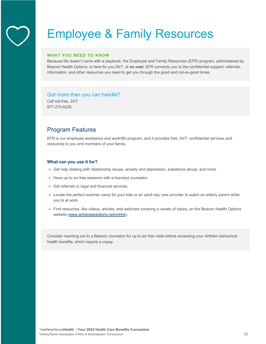### Employee & Family Resources

#### **WHAT YOU NEED TO KNOW**

Because life doesn't come with a playbook, the Employee and Family Resources (EFR) program, administered by Beacon Health Options, is here for you 24/7, at **no cost**. EFR connects you to the confidential support, referrals, information, and other resources you need to get you through the good and not-so-good times.

#### Got more than you can handle?

Call toll-free, 24/7. 877-275-6226

#### Program Features

EFR is our employee assistance and work/life program, and it provides free, 24/7, confidential services and resources to you and members of your family.

#### **What can you use it for?**

- Get help dealing with relationship issues, anxiety and depression, substance abuse, and more.
- Have up to six free sessions with a licensed counselor.
- Get referrals to legal and financial services.
- Locate the perfect summer camp for your kids or an adult day care provider to watch an elderly parent while you're at work.
- Find resources, like videos, articles, and webinars covering a variety of topics, on the Beacon Health Options website (www.achievesolutions.net/ynhhs).

Consider reaching out to a Beacon counselor for up to six free visits before accessing your Anthem behavioral health benefits, which require a copay.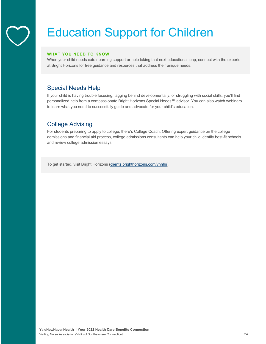## Education Support for Children

#### **WHAT YOU NEED TO KNOW**

When your child needs extra learning support or help taking that next educational leap, connect with the experts at Bright Horizons for free guidance and resources that address their unique needs.

### Special Needs Help

If your child is having trouble focusing, lagging behind developmentally, or struggling with social skills, you'll find personalized help from a compassionate Bright Horizons Special Needs™ advisor. You can also watch webinars to learn what you need to successfully guide and advocate for your child's education.

#### College Advising

For students preparing to apply to college, there's College Coach. Offering expert guidance on the college admissions and financial aid process, college admissions consultants can help your child identify best-fit schools and review college admission essays.

To get started, visit Bright Horizons (clients.brighthorizons.com/ynhhs).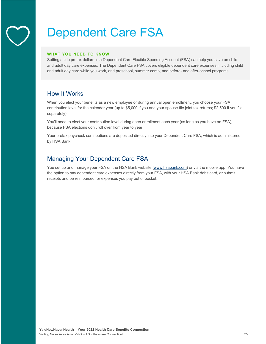### Dependent Care FSA

#### **WHAT YOU NEED TO KNOW**

Setting aside pretax dollars in a Dependent Care Flexible Spending Account (FSA) can help you save on child and adult day care expenses. The Dependent Care FSA covers eligible dependent care expenses, including child and adult day care while you work, and preschool, summer camp, and before- and after-school programs.

#### How It Works

When you elect your benefits as a new employee or during annual open enrollment, you choose your FSA contribution level for the calendar year (up to \$5,000 if you and your spouse file joint tax returns; \$2,500 if you file separately).

You'll need to elect your contribution level during open enrollment each year (as long as you have an FSA), because FSA elections don't roll over from year to year.

Your pretax paycheck contributions are deposited directly into your Dependent Care FSA, which is administered by HSA Bank.

#### Managing Your Dependent Care FSA

You set up and manage your FSA on the HSA Bank website (www.hsabank.com) or via the mobile app. You have the option to pay dependent care expenses directly from your FSA, with your HSA Bank debit card, or submit receipts and be reimbursed for expenses you pay out of pocket.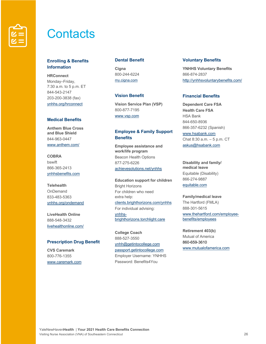

### **Contacts**

#### **Enrolling & Benefits Information**

**HRConnect** Monday–Friday, 7:30 a.m. to 5 p.m. ET 844-543-2147 203-200-3838 (fax) ynhhs.org/hrconnect

#### **Medical Benefits**

**Anthem Blue Cross and Blue Shield** 844-963-0447 www.anthem.com/

**COBRA** bswift 866-365-2413 ynhhsbenefits.com

**Telehealth** OnDemand 833-483-5363 ynhhs.org/ondemand

**LiveHealth Online** 888-548-3432 livehealthonline.com/

#### **Prescription Drug Benefit**

**CVS Caremark** 800-776-1355 www.caremark.com

#### **Dental Benefit**

**Cigna** 800-244-6224 my.cigna.com

#### **Vision Benefit**

**Vision Service Plan (VSP)** 800-877-7195 www.vsp.com

#### **Employee & Family Support Benefits**

**Employee assistance and work/life program** Beacon Health Options 877-275-6226 achievesolutions.net/ynhhs

**Education support for children** Bright Horizons For children who need extra help: clients.brighthorizons.com/ynhhs For individual advising: ynhhsbrighthorizons.torchlight.care

**College Coach**  888-527-3550 ynhh@getintocollege.com passport.getintocollege.com Employer Username: YNHHS Password: Benefits4You

#### **Voluntary Benefits**

**YNHHS Voluntary Benefits** 866-874-2837 http://ynhhsvoluntarybenefits.com/

#### **Financial Benefits**

**Dependent Care FSA Health Care FSA** HSA Bank 844-650-8936 866-357-6232 (Spanish) www.hsabank.com Chat 8:30 a.m. – 5 p.m. CT askus@hsabank.com

**Disability and family/ medical leave** Equitable (Disability) 866-274-9887 equitable.com

#### **Family/medical leave**

The Hartford (FMLA) 888-301-5615 www.thehartford.com/employeebenefits/employees

**Retirement 403(b)** Mutual of America 860-659-3610 www.mutualofamerica.com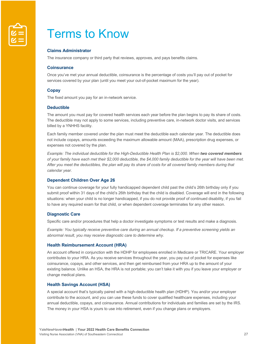

### Terms to Know

#### **Claims Administrator**

The insurance company or third party that reviews, approves, and pays benefits claims.

#### **Coinsurance**

Once you've met your annual deductible, coinsurance is the percentage of costs you'll pay out of pocket for services covered by your plan (until you meet your out-of-pocket maximum for the year).

#### **Copay**

The fixed amount you pay for an in-network service.

#### **Deductible**

The amount you must pay for covered health services each year before the plan begins to pay its share of costs. The deductible may not apply to some services, including preventive care, in-network doctor visits, and services billed by a YNHHS facility.

Each family member covered under the plan must meet the deductible each calendar year. The deductible does not include copays, amounts exceeding the maximum allowable amount (MAA), prescription drug expenses, or expenses not covered by the plan.

*Example: The individual deductible for the High-Deductible Health Plan is \$2,000. When two covered members of your family have each met their \$2,000 deductible, the \$4,000 family deductible for the year will have been met.*  After you meet the deductibles, the plan will pay its share of costs for all covered family members during that *calendar year.* 

#### **Dependent Children Over Age 26**

You can continue coverage for your fully handicapped dependent child past the child's 26th birthday only if you submit proof within 31 days of the child's 26th birthday that the child is disabled. Coverage will end in the following situations: when your child is no longer handicapped, if you do not provide proof of continued disability, if you fail to have any required exam for that child, or when dependent coverage terminates for any other reason.

#### **Diagnostic Care**

Specific care and/or procedures that help a doctor investigate symptoms or test results and make a diagnosis.

*Example: You typically receive preventive care during an annual checkup. If a preventive screening yields an abnormal result, you may receive diagnostic care to determine why.* 

#### **Health Reimbursement Account (HRA)**

An account offered in conjunction with the HDHP for employees enrolled in Medicare or TRICARE. Your employer contributes to your HRA. As you receive services throughout the year, you pay out of pocket for expenses like coinsurance, copays, and other services, and then get reimbursed from your HRA up to the amount of your existing balance. Unlike an HSA, the HRA is not portable; you can't take it with you if you leave your employer or change medical plans.

#### **Health Savings Account (HSA)**

A special account that's typically paired with a high-deductible health plan (HDHP). You and/or your employer contribute to the account, and you can use these funds to cover qualified healthcare expenses, including your annual deductible, copays, and coinsurance. Annual contributions for individuals and families are set by the IRS. The money in your HSA is yours to use into retirement, even if you change plans or employers.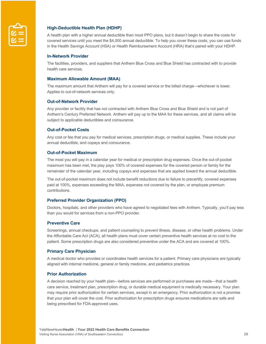

#### **High-Deductible Health Plan (HDHP)**

A health plan with a higher annual deductible than most PPO plans, but it doesn't begin to share the costs for covered services until you meet the \$4,000 annual deductible. To help you cover these costs, you can use funds in the Health Savings Account (HSA) or Health Reimbursement Account (HRA) that's paired with your HDHP.

#### **In-Network Provider**

The facilities, providers, and suppliers that Anthem Blue Cross and Blue Shield has contracted with to provide health care services.

#### **Maximum Allowable Amount (MAA)**

The maximum amount that Anthem will pay for a covered service or the billed charge—whichever is lower. Applies to out-of-network services only.

#### **Out-of-Network Provider**

Any provider or facility that has not contracted with Anthem Blue Cross and Blue Shield and is not part of Anthem's Century Preferred Network. Anthem will pay up to the MAA for these services, and all claims will be subject to applicable deductibles and coinsurance.

#### **Out-of-Pocket Costs**

Any cost or fee that you pay for medical services, prescription drugs, or medical supplies. These include your annual deductible, and copays and coinsurance.

#### **Out-of-Pocket Maximum**

The most you will pay in a calendar year for medical or prescription drug expenses. Once the out-of-pocket maximum has been met, the play pays 100% of covered expenses for the covered person or family for the remainder of the calendar year, including copays and expenses that are applied toward the annual deductible.

The out-of-pocket maximum does not include benefit reductions due to failure to precertify, covered expenses paid at 100%, expenses exceeding the MAA, expenses not covered by the plan, or employee premium contributions.

#### **Preferred Provider Organization (PPO)**

Doctors, hospitals, and other providers who have agreed to negotiated fees with Anthem. Typically, you'll pay less than you would for services from a non-PPO provider.

#### **Preventive Care**

Screenings, annual checkups, and patient counseling to prevent illness, disease, or other health problems. Under the Affordable Care Act (ACA), all health plans must cover certain preventive health services at no cost to the patient. Some prescription drugs are also considered preventive under the ACA and are covered at 100%.

#### **Primary Care Physician**

A medical doctor who provides or coordinates health services for a patient. Primary care physicians are typically aligned with internal medicine, general or family medicine, and pediatrics practices.

#### **Prior Authorization**

A decision reached by your health plan—before services are performed or purchases are made—that a health care service, treatment plan, prescription drug, or durable medical equipment is medically necessary. Your plan may require prior authorization for certain services, except in an emergency. Prior authorization is not a promise that your plan will cover the cost. Prior authorization for prescription drugs ensures medications are safe and being prescribed for FDA-approved uses.